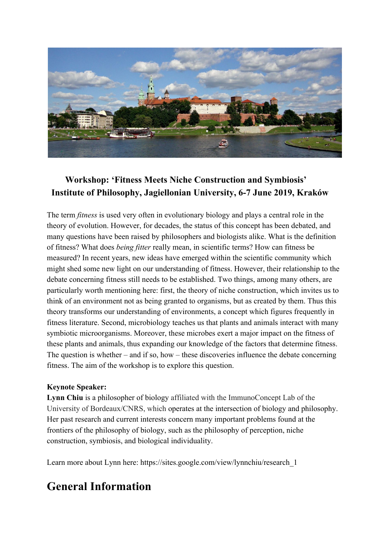

## **Workshop: 'Fitness Meets Niche Construction and Symbiosis' Institute of Philosophy, Jagiellonian University, 6-7 June 2019, Kraków**

The term *fitness* is used very often in evolutionary biology and plays a central role in the theory of evolution. However, for decades, the status of this concept has been debated, and many questions have been raised by philosophers and biologists alike. What is the definition of fitness? What does *being fitter* really mean, in scientific terms? How can fitness be measured? In recent years, new ideas have emerged within the scientific community which might shed some new light on our understanding of fitness. However, their relationship to the debate concerning fitness still needs to be established. Two things, among many others, are particularly worth mentioning here: first, the theory of niche construction, which invites us to think of an environment not as being granted to organisms, but as created by them. Thus this theory transforms our understanding of environments, a concept which figures frequently in fitness literature. Second, microbiology teaches us that plants and animals interact with many symbiotic microorganisms. Moreover, these microbes exert a major impact on the fitness of these plants and animals, thus expanding our knowledge of the factors that determine fitness. The question is whether – and if so, how – these discoveries influence the debate concerning fitness. The aim of the workshop is to explore this question.

#### **Keynote Speaker:**

**Lynn Chiu** is a philosopher of biology affiliated with the ImmunoConcept Lab of the University of Bordeaux/CNRS, which operates at the intersection of biology and philosophy. Her past research and current interests concern many important problems found at the frontiers of the philosophy of biology, such as the philosophy of perception, niche construction, symbiosis, and biological individuality.

Learn more about Lynn here: https://sites.google.com/view/lynnchiu/research\_1

# **General Information**